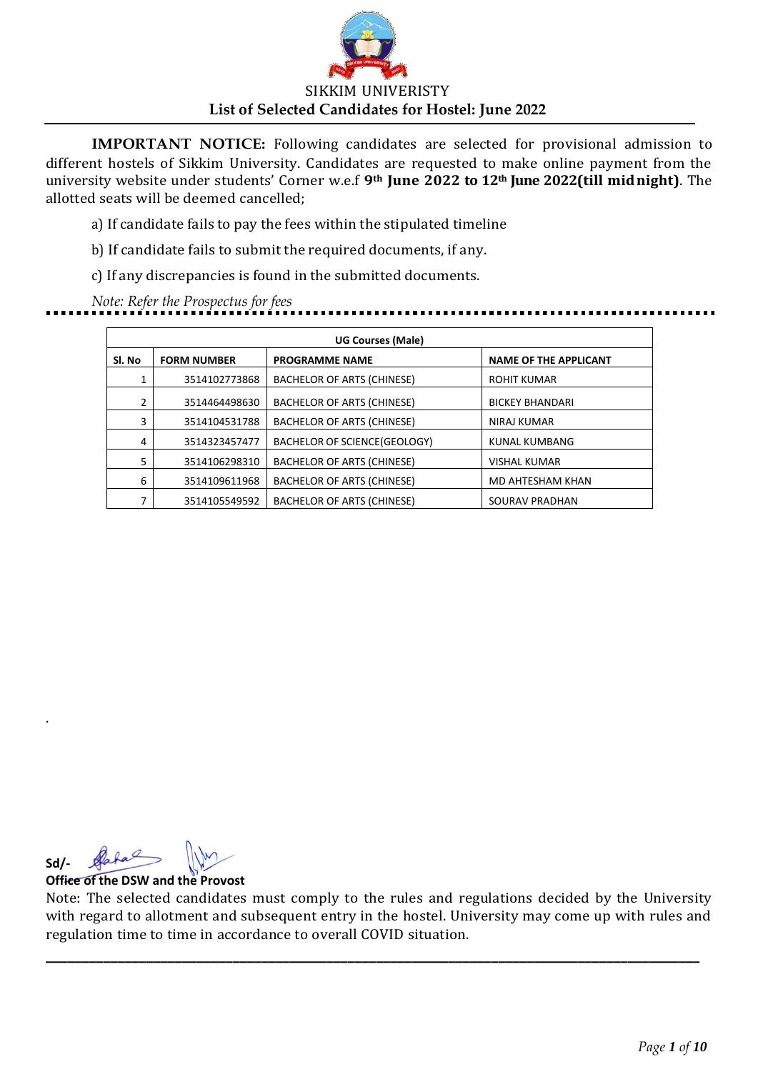

a) If candidate fails to pay the fees within the stipulated timeline

b) If candidate fails to submit the required documents, if any.

c) If any discrepancies is found in the submitted documents.

*Note: Refer the Prospectus for fees*

| <b>UG Courses (Male)</b> |                    |                                   |                              |  |
|--------------------------|--------------------|-----------------------------------|------------------------------|--|
| Sl. No                   | <b>FORM NUMBER</b> | <b>PROGRAMME NAME</b>             | <b>NAME OF THE APPLICANT</b> |  |
| 1                        | 3514102773868      | BACHELOR OF ARTS (CHINESE)        | ROHIT KUMAR                  |  |
| 2                        | 3514464498630      | BACHELOR OF ARTS (CHINESE)        | <b>BICKEY BHANDARI</b>       |  |
| 3                        | 3514104531788      | BACHELOR OF ARTS (CHINESE)        | NIRAJ KUMAR                  |  |
| 4                        | 3514323457477      | BACHELOR OF SCIENCE(GEOLOGY)      | <b>KUNAL KUMBANG</b>         |  |
| 5                        | 3514106298310      | <b>BACHELOR OF ARTS (CHINESE)</b> | <b>VISHAL KUMAR</b>          |  |
| 6                        | 3514109611968      | BACHELOR OF ARTS (CHINESE)        | MD AHTESHAM KHAN             |  |
| 7                        | 3514105549592      | <b>BACHELOR OF ARTS (CHINESE)</b> | SOURAV PRADHAN               |  |

hal **Sd/-**

.

**Office of the DSW and the Provost**

Note: The selected candidates must comply to the rules and regulations decided by the University with regard to allotment and subsequent entry in the hostel. University may come up with rules and regulation time to time in accordance to overall COVID situation.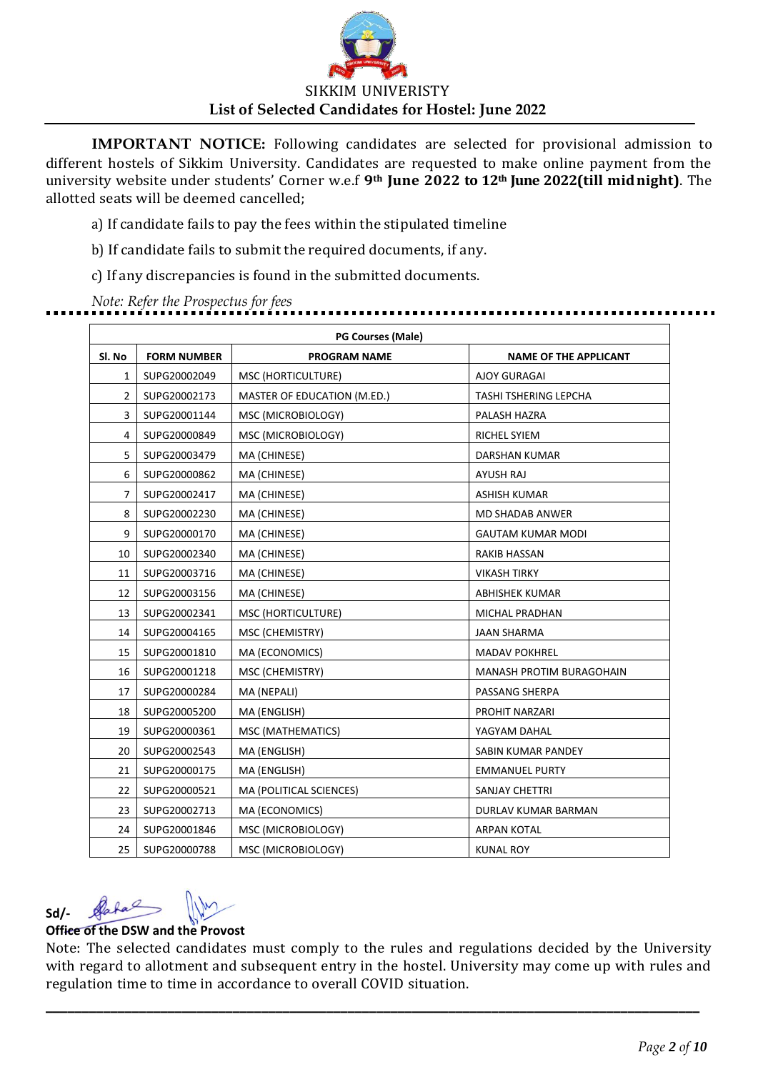

a) If candidate fails to pay the fees within the stipulated timeline

b) If candidate fails to submit the required documents, if any.

c) If any discrepancies is found in the submitted documents.

*Note: Refer the Prospectus for fees* .........................

|                | <b>PG Courses (Male)</b> |                             |                              |  |  |
|----------------|--------------------------|-----------------------------|------------------------------|--|--|
| SI. No         | <b>FORM NUMBER</b>       | <b>PROGRAM NAME</b>         | <b>NAME OF THE APPLICANT</b> |  |  |
| 1              | SUPG20002049             | MSC (HORTICULTURE)          | <b>AJOY GURAGAI</b>          |  |  |
| $\overline{2}$ | SUPG20002173             | MASTER OF EDUCATION (M.ED.) | TASHI TSHERING LEPCHA        |  |  |
| 3              | SUPG20001144             | MSC (MICROBIOLOGY)          | PALASH HAZRA                 |  |  |
| 4              | SUPG20000849             | MSC (MICROBIOLOGY)          | RICHEL SYIEM                 |  |  |
| 5              | SUPG20003479             | MA (CHINESE)                | DARSHAN KUMAR                |  |  |
| 6              | SUPG20000862             | MA (CHINESE)                | <b>AYUSH RAJ</b>             |  |  |
| 7              | SUPG20002417             | MA (CHINESE)                | <b>ASHISH KUMAR</b>          |  |  |
| 8              | SUPG20002230             | MA (CHINESE)                | <b>MD SHADAB ANWER</b>       |  |  |
| 9              | SUPG20000170             | MA (CHINESE)                | <b>GAUTAM KUMAR MODI</b>     |  |  |
| 10             | SUPG20002340             | MA (CHINESE)                | RAKIB HASSAN                 |  |  |
| 11             | SUPG20003716             | MA (CHINESE)                | <b>VIKASH TIRKY</b>          |  |  |
| 12             | SUPG20003156             | MA (CHINESE)                | ABHISHEK KUMAR               |  |  |
| 13             | SUPG20002341             | MSC (HORTICULTURE)          | MICHAL PRADHAN               |  |  |
| 14             | SUPG20004165             | MSC (CHEMISTRY)             | <b>JAAN SHARMA</b>           |  |  |
| 15             | SUPG20001810             | MA (ECONOMICS)              | <b>MADAV POKHREL</b>         |  |  |
| 16             | SUPG20001218             | MSC (CHEMISTRY)             | MANASH PROTIM BURAGOHAIN     |  |  |
| 17             | SUPG20000284             | MA (NEPALI)                 | PASSANG SHERPA               |  |  |
| 18             | SUPG20005200             | MA (ENGLISH)                | PROHIT NARZARI               |  |  |
| 19             | SUPG20000361             | MSC (MATHEMATICS)           | YAGYAM DAHAL                 |  |  |
| 20             | SUPG20002543             | MA (ENGLISH)                | SABIN KUMAR PANDEY           |  |  |
| 21             | SUPG20000175             | MA (ENGLISH)                | <b>EMMANUEL PURTY</b>        |  |  |
| 22             | SUPG20000521             | MA (POLITICAL SCIENCES)     | SANJAY CHETTRI               |  |  |
| 23             | SUPG20002713             | MA (ECONOMICS)              | DURLAV KUMAR BARMAN          |  |  |
| 24             | SUPG20001846             | MSC (MICROBIOLOGY)          | <b>ARPAN KOTAL</b>           |  |  |
| 25             | SUPG20000788             | MSC (MICROBIOLOGY)          | <b>KUNAL ROY</b>             |  |  |

Dahal **Sd/-**

## **Office of the DSW and the Provost**

Note: The selected candidates must comply to the rules and regulations decided by the University with regard to allotment and subsequent entry in the hostel. University may come up with rules and regulation time to time in accordance to overall COVID situation.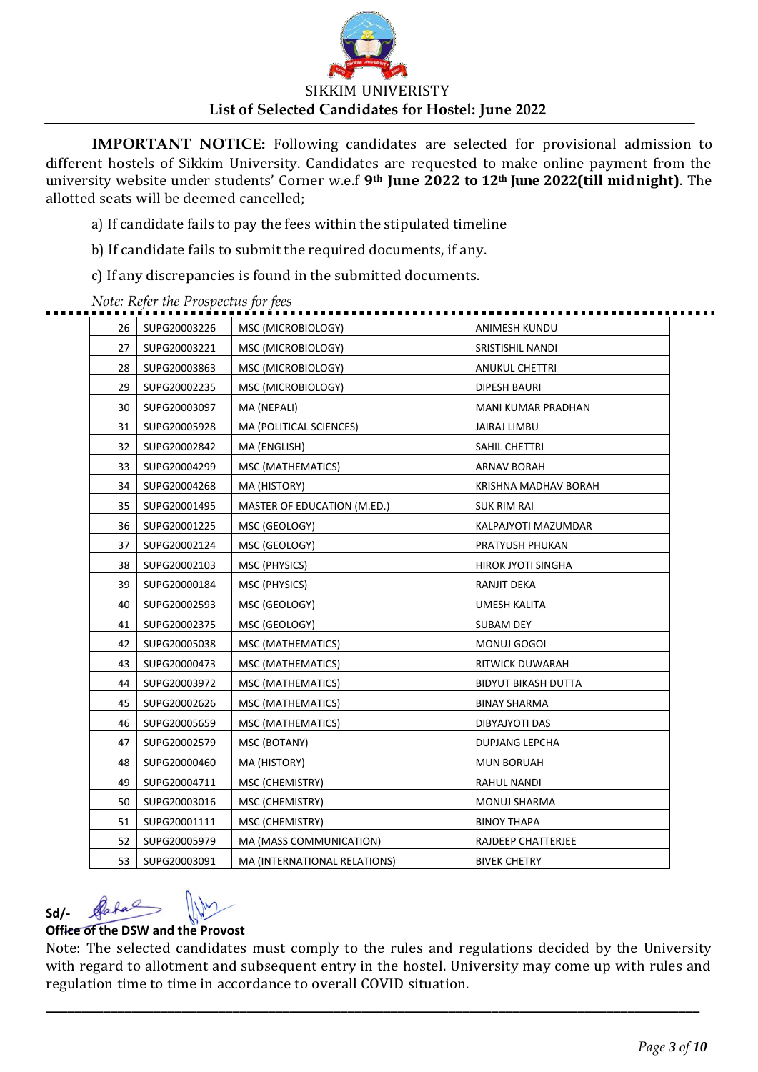

a) If candidate fails to pay the fees within the stipulated timeline

b) If candidate fails to submit the required documents, if any.

c) If any discrepancies is found in the submitted documents.

| 26 | SUPG20003226 | MSC (MICROBIOLOGY)           | ANIMESH KUNDU              |
|----|--------------|------------------------------|----------------------------|
| 27 | SUPG20003221 | MSC (MICROBIOLOGY)           | SRISTISHIL NANDI           |
| 28 | SUPG20003863 | MSC (MICROBIOLOGY)           | <b>ANUKUL CHETTRI</b>      |
| 29 | SUPG20002235 | MSC (MICROBIOLOGY)           | <b>DIPESH BAURI</b>        |
| 30 | SUPG20003097 | MA (NEPALI)                  | MANI KUMAR PRADHAN         |
| 31 | SUPG20005928 | MA (POLITICAL SCIENCES)      | JAIRAJ LIMBU               |
| 32 | SUPG20002842 | MA (ENGLISH)                 | SAHIL CHETTRI              |
| 33 | SUPG20004299 | MSC (MATHEMATICS)            | <b>ARNAV BORAH</b>         |
| 34 | SUPG20004268 | MA (HISTORY)                 | KRISHNA MADHAV BORAH       |
| 35 | SUPG20001495 | MASTER OF EDUCATION (M.ED.)  | <b>SUK RIM RAI</b>         |
| 36 | SUPG20001225 | MSC (GEOLOGY)                | KALPAJYOTI MAZUMDAR        |
| 37 | SUPG20002124 | MSC (GEOLOGY)                | PRATYUSH PHUKAN            |
| 38 | SUPG20002103 | MSC (PHYSICS)                | <b>HIROK JYOTI SINGHA</b>  |
| 39 | SUPG20000184 | MSC (PHYSICS)                | RANJIT DEKA                |
| 40 | SUPG20002593 | MSC (GEOLOGY)                | <b>UMESH KALITA</b>        |
| 41 | SUPG20002375 | MSC (GEOLOGY)                | SUBAM DEY                  |
| 42 | SUPG20005038 | MSC (MATHEMATICS)            | MONUJ GOGOI                |
| 43 | SUPG20000473 | MSC (MATHEMATICS)            | RITWICK DUWARAH            |
| 44 | SUPG20003972 | MSC (MATHEMATICS)            | <b>BIDYUT BIKASH DUTTA</b> |
| 45 | SUPG20002626 | MSC (MATHEMATICS)            | <b>BINAY SHARMA</b>        |
| 46 | SUPG20005659 | MSC (MATHEMATICS)            | DIBYAJYOTI DAS             |
| 47 | SUPG20002579 | MSC (BOTANY)                 | <b>DUPJANG LEPCHA</b>      |
| 48 | SUPG20000460 | MA (HISTORY)                 | <b>MUN BORUAH</b>          |
| 49 | SUPG20004711 | MSC (CHEMISTRY)              | RAHUL NANDI                |
| 50 | SUPG20003016 | MSC (CHEMISTRY)              | MONUJ SHARMA               |
| 51 | SUPG20001111 | MSC (CHEMISTRY)              | <b>BINOY THAPA</b>         |
| 52 | SUPG20005979 | MA (MASS COMMUNICATION)      | RAJDEEP CHATTERJEE         |
| 53 | SUPG20003091 | MA (INTERNATIONAL RELATIONS) | <b>BIVEK CHETRY</b>        |
|    |              |                              |                            |

#### *Note: Refer the Prospectus for fees*

#### Dafal **Sd/-**

## **Office of the DSW and the Provost**

Note: The selected candidates must comply to the rules and regulations decided by the University with regard to allotment and subsequent entry in the hostel. University may come up with rules and regulation time to time in accordance to overall COVID situation.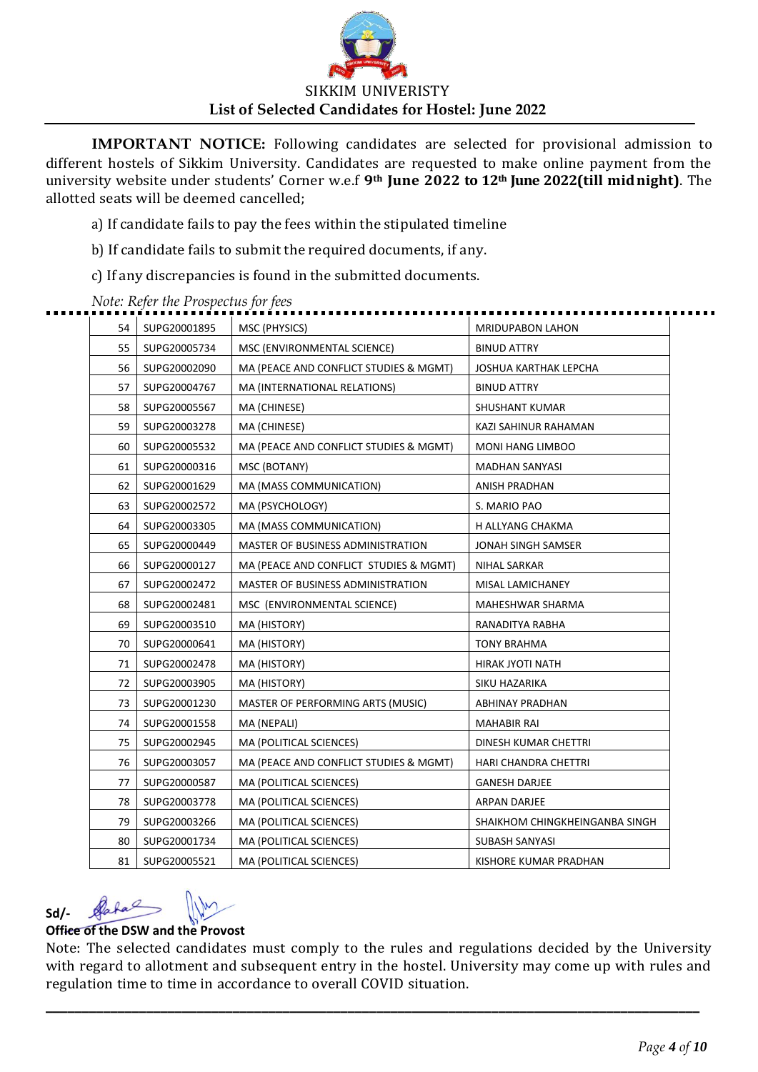

a) If candidate fails to pay the fees within the stipulated timeline

b) If candidate fails to submit the required documents, if any.

c) If any discrepancies is found in the submitted documents.

| 54 | SUPG20001895 | MSC (PHYSICS)                          | <b>MRIDUPABON LAHON</b>        |
|----|--------------|----------------------------------------|--------------------------------|
| 55 | SUPG20005734 | MSC (ENVIRONMENTAL SCIENCE)            | <b>BINUD ATTRY</b>             |
| 56 | SUPG20002090 | MA (PEACE AND CONFLICT STUDIES & MGMT) | JOSHUA KARTHAK LEPCHA          |
| 57 | SUPG20004767 | MA (INTERNATIONAL RELATIONS)           | <b>BINUD ATTRY</b>             |
| 58 | SUPG20005567 | MA (CHINESE)                           | SHUSHANT KUMAR                 |
| 59 | SUPG20003278 | MA (CHINESE)                           | KAZI SAHINUR RAHAMAN           |
| 60 | SUPG20005532 | MA (PEACE AND CONFLICT STUDIES & MGMT) | MONI HANG LIMBOO               |
| 61 | SUPG20000316 | MSC (BOTANY)                           | <b>MADHAN SANYASI</b>          |
| 62 | SUPG20001629 | MA (MASS COMMUNICATION)                | ANISH PRADHAN                  |
| 63 | SUPG20002572 | MA (PSYCHOLOGY)                        | S. MARIO PAO                   |
| 64 | SUPG20003305 | MA (MASS COMMUNICATION)                | H ALLYANG CHAKMA               |
| 65 | SUPG20000449 | MASTER OF BUSINESS ADMINISTRATION      | JONAH SINGH SAMSER             |
| 66 | SUPG20000127 | MA (PEACE AND CONFLICT STUDIES & MGMT) | NIHAL SARKAR                   |
| 67 | SUPG20002472 | MASTER OF BUSINESS ADMINISTRATION      | MISAL LAMICHANEY               |
| 68 | SUPG20002481 | MSC (ENVIRONMENTAL SCIENCE)            | MAHESHWAR SHARMA               |
| 69 | SUPG20003510 | MA (HISTORY)                           | RANADITYA RABHA                |
| 70 | SUPG20000641 | MA (HISTORY)                           | <b>TONY BRAHMA</b>             |
| 71 | SUPG20002478 | MA (HISTORY)                           | HIRAK JYOTI NATH               |
| 72 | SUPG20003905 | MA (HISTORY)                           | SIKU HAZARIKA                  |
| 73 | SUPG20001230 | MASTER OF PERFORMING ARTS (MUSIC)      | ABHINAY PRADHAN                |
| 74 | SUPG20001558 | MA (NEPALI)                            | MAHABIR RAI                    |
| 75 | SUPG20002945 | MA (POLITICAL SCIENCES)                | DINESH KUMAR CHETTRI           |
| 76 | SUPG20003057 | MA (PEACE AND CONFLICT STUDIES & MGMT) | HARI CHANDRA CHETTRI           |
| 77 | SUPG20000587 | MA (POLITICAL SCIENCES)                | <b>GANESH DARJEE</b>           |
| 78 | SUPG20003778 | MA (POLITICAL SCIENCES)                | ARPAN DARJEE                   |
| 79 | SUPG20003266 | MA (POLITICAL SCIENCES)                | SHAIKHOM CHINGKHEINGANBA SINGH |
| 80 | SUPG20001734 | MA (POLITICAL SCIENCES)                | SUBASH SANYASI                 |
| 81 | SUPG20005521 | MA (POLITICAL SCIENCES)                | KISHORE KUMAR PRADHAN          |
|    |              |                                        |                                |

#### *Note: Refer the Prospectus for fees*

#### Dafal **Sd/-**

### **Office of the DSW and the Provost**

Note: The selected candidates must comply to the rules and regulations decided by the University with regard to allotment and subsequent entry in the hostel. University may come up with rules and regulation time to time in accordance to overall COVID situation.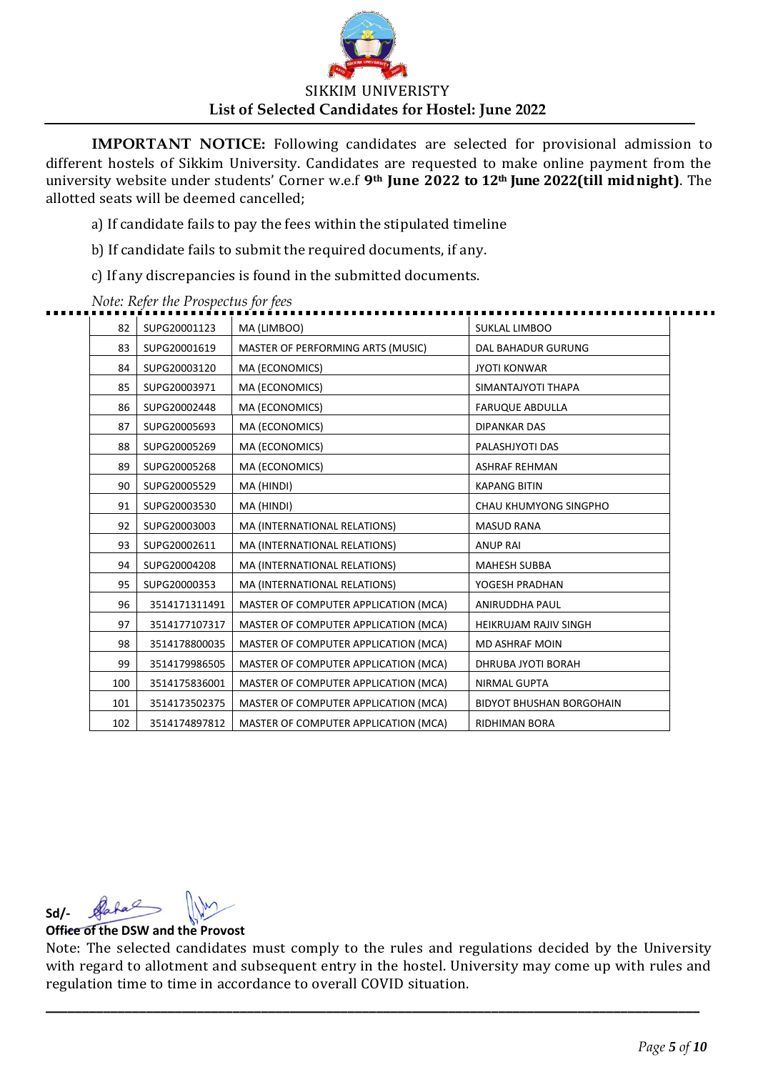

a) If candidate fails to pay the fees within the stipulated timeline

b) If candidate fails to submit the required documents, if any.

c) If any discrepancies is found in the submitted documents.

| SUPG20001123<br>82<br>MA (LIMBOO)<br><b>SUKLAL LIMBOO</b><br>83<br>SUPG20001619<br>MASTER OF PERFORMING ARTS (MUSIC)<br>DAL BAHADUR GURUNG<br>84<br>SUPG20003120<br>MA (ECONOMICS)<br><b>JYOTI KONWAR</b><br>85<br>SUPG20003971<br>MA (ECONOMICS)<br>SIMANTAJYOTI THAPA<br>86<br>SUPG20002448<br>MA (ECONOMICS)<br><b>FARUQUE ABDULLA</b><br>87<br>SUPG20005693<br>MA (ECONOMICS)<br><b>DIPANKAR DAS</b><br>88<br>SUPG20005269<br>MA (ECONOMICS)<br>PALASHJYOTI DAS<br>MA (ECONOMICS)<br>89<br>SUPG20005268<br><b>ASHRAF REHMAN</b><br>90<br>MA (HINDI)<br>SUPG20005529<br><b>KAPANG BITIN</b><br>91<br>SUPG20003530<br>MA (HINDI)<br>CHAU KHUMYONG SINGPHO<br>MA (INTERNATIONAL RELATIONS)<br>92<br>SUPG20003003<br><b>MASUD RANA</b><br>93<br>SUPG20002611<br>MA (INTERNATIONAL RELATIONS)<br><b>ANUP RAI</b><br>94<br>SUPG20004208<br>MA (INTERNATIONAL RELATIONS)<br><b>MAHESH SUBBA</b><br>MA (INTERNATIONAL RELATIONS)<br>95<br>SUPG20000353<br>YOGESH PRADHAN<br>96<br>3514171311491<br>MASTER OF COMPUTER APPLICATION (MCA)<br>ANIRUDDHA PAUL<br>97<br>3514177107317<br>MASTER OF COMPUTER APPLICATION (MCA)<br>HEIKRUJAM RAJIV SINGH<br>98<br>3514178800035<br>MASTER OF COMPUTER APPLICATION (MCA)<br><b>MD ASHRAF MOIN</b><br>99<br>3514179986505<br>MASTER OF COMPUTER APPLICATION (MCA)<br>DHRUBA JYOTI BORAH<br>100<br>3514175836001<br>MASTER OF COMPUTER APPLICATION (MCA)<br><b>NIRMAL GUPTA</b><br>3514173502375<br>MASTER OF COMPUTER APPLICATION (MCA)<br>101<br><b>BIDYOT BHUSHAN BORGOHAIN</b><br>102<br>3514174897812<br>MASTER OF COMPUTER APPLICATION (MCA)<br>RIDHIMAN BORA |  |  |  |
|-------------------------------------------------------------------------------------------------------------------------------------------------------------------------------------------------------------------------------------------------------------------------------------------------------------------------------------------------------------------------------------------------------------------------------------------------------------------------------------------------------------------------------------------------------------------------------------------------------------------------------------------------------------------------------------------------------------------------------------------------------------------------------------------------------------------------------------------------------------------------------------------------------------------------------------------------------------------------------------------------------------------------------------------------------------------------------------------------------------------------------------------------------------------------------------------------------------------------------------------------------------------------------------------------------------------------------------------------------------------------------------------------------------------------------------------------------------------------------------------------------------------------------------------------------------------------------------------------------|--|--|--|
|                                                                                                                                                                                                                                                                                                                                                                                                                                                                                                                                                                                                                                                                                                                                                                                                                                                                                                                                                                                                                                                                                                                                                                                                                                                                                                                                                                                                                                                                                                                                                                                                       |  |  |  |
|                                                                                                                                                                                                                                                                                                                                                                                                                                                                                                                                                                                                                                                                                                                                                                                                                                                                                                                                                                                                                                                                                                                                                                                                                                                                                                                                                                                                                                                                                                                                                                                                       |  |  |  |
|                                                                                                                                                                                                                                                                                                                                                                                                                                                                                                                                                                                                                                                                                                                                                                                                                                                                                                                                                                                                                                                                                                                                                                                                                                                                                                                                                                                                                                                                                                                                                                                                       |  |  |  |
|                                                                                                                                                                                                                                                                                                                                                                                                                                                                                                                                                                                                                                                                                                                                                                                                                                                                                                                                                                                                                                                                                                                                                                                                                                                                                                                                                                                                                                                                                                                                                                                                       |  |  |  |
|                                                                                                                                                                                                                                                                                                                                                                                                                                                                                                                                                                                                                                                                                                                                                                                                                                                                                                                                                                                                                                                                                                                                                                                                                                                                                                                                                                                                                                                                                                                                                                                                       |  |  |  |
|                                                                                                                                                                                                                                                                                                                                                                                                                                                                                                                                                                                                                                                                                                                                                                                                                                                                                                                                                                                                                                                                                                                                                                                                                                                                                                                                                                                                                                                                                                                                                                                                       |  |  |  |
|                                                                                                                                                                                                                                                                                                                                                                                                                                                                                                                                                                                                                                                                                                                                                                                                                                                                                                                                                                                                                                                                                                                                                                                                                                                                                                                                                                                                                                                                                                                                                                                                       |  |  |  |
|                                                                                                                                                                                                                                                                                                                                                                                                                                                                                                                                                                                                                                                                                                                                                                                                                                                                                                                                                                                                                                                                                                                                                                                                                                                                                                                                                                                                                                                                                                                                                                                                       |  |  |  |
|                                                                                                                                                                                                                                                                                                                                                                                                                                                                                                                                                                                                                                                                                                                                                                                                                                                                                                                                                                                                                                                                                                                                                                                                                                                                                                                                                                                                                                                                                                                                                                                                       |  |  |  |
|                                                                                                                                                                                                                                                                                                                                                                                                                                                                                                                                                                                                                                                                                                                                                                                                                                                                                                                                                                                                                                                                                                                                                                                                                                                                                                                                                                                                                                                                                                                                                                                                       |  |  |  |
|                                                                                                                                                                                                                                                                                                                                                                                                                                                                                                                                                                                                                                                                                                                                                                                                                                                                                                                                                                                                                                                                                                                                                                                                                                                                                                                                                                                                                                                                                                                                                                                                       |  |  |  |
|                                                                                                                                                                                                                                                                                                                                                                                                                                                                                                                                                                                                                                                                                                                                                                                                                                                                                                                                                                                                                                                                                                                                                                                                                                                                                                                                                                                                                                                                                                                                                                                                       |  |  |  |
|                                                                                                                                                                                                                                                                                                                                                                                                                                                                                                                                                                                                                                                                                                                                                                                                                                                                                                                                                                                                                                                                                                                                                                                                                                                                                                                                                                                                                                                                                                                                                                                                       |  |  |  |
|                                                                                                                                                                                                                                                                                                                                                                                                                                                                                                                                                                                                                                                                                                                                                                                                                                                                                                                                                                                                                                                                                                                                                                                                                                                                                                                                                                                                                                                                                                                                                                                                       |  |  |  |
|                                                                                                                                                                                                                                                                                                                                                                                                                                                                                                                                                                                                                                                                                                                                                                                                                                                                                                                                                                                                                                                                                                                                                                                                                                                                                                                                                                                                                                                                                                                                                                                                       |  |  |  |
|                                                                                                                                                                                                                                                                                                                                                                                                                                                                                                                                                                                                                                                                                                                                                                                                                                                                                                                                                                                                                                                                                                                                                                                                                                                                                                                                                                                                                                                                                                                                                                                                       |  |  |  |
|                                                                                                                                                                                                                                                                                                                                                                                                                                                                                                                                                                                                                                                                                                                                                                                                                                                                                                                                                                                                                                                                                                                                                                                                                                                                                                                                                                                                                                                                                                                                                                                                       |  |  |  |
|                                                                                                                                                                                                                                                                                                                                                                                                                                                                                                                                                                                                                                                                                                                                                                                                                                                                                                                                                                                                                                                                                                                                                                                                                                                                                                                                                                                                                                                                                                                                                                                                       |  |  |  |
|                                                                                                                                                                                                                                                                                                                                                                                                                                                                                                                                                                                                                                                                                                                                                                                                                                                                                                                                                                                                                                                                                                                                                                                                                                                                                                                                                                                                                                                                                                                                                                                                       |  |  |  |
|                                                                                                                                                                                                                                                                                                                                                                                                                                                                                                                                                                                                                                                                                                                                                                                                                                                                                                                                                                                                                                                                                                                                                                                                                                                                                                                                                                                                                                                                                                                                                                                                       |  |  |  |
|                                                                                                                                                                                                                                                                                                                                                                                                                                                                                                                                                                                                                                                                                                                                                                                                                                                                                                                                                                                                                                                                                                                                                                                                                                                                                                                                                                                                                                                                                                                                                                                                       |  |  |  |

*Note: Refer the Prospectus for fees*

**Sd/-**

## **Office of the DSW and the Provost**

Note: The selected candidates must comply to the rules and regulations decided by the University with regard to allotment and subsequent entry in the hostel. University may come up with rules and regulation time to time in accordance to overall COVID situation.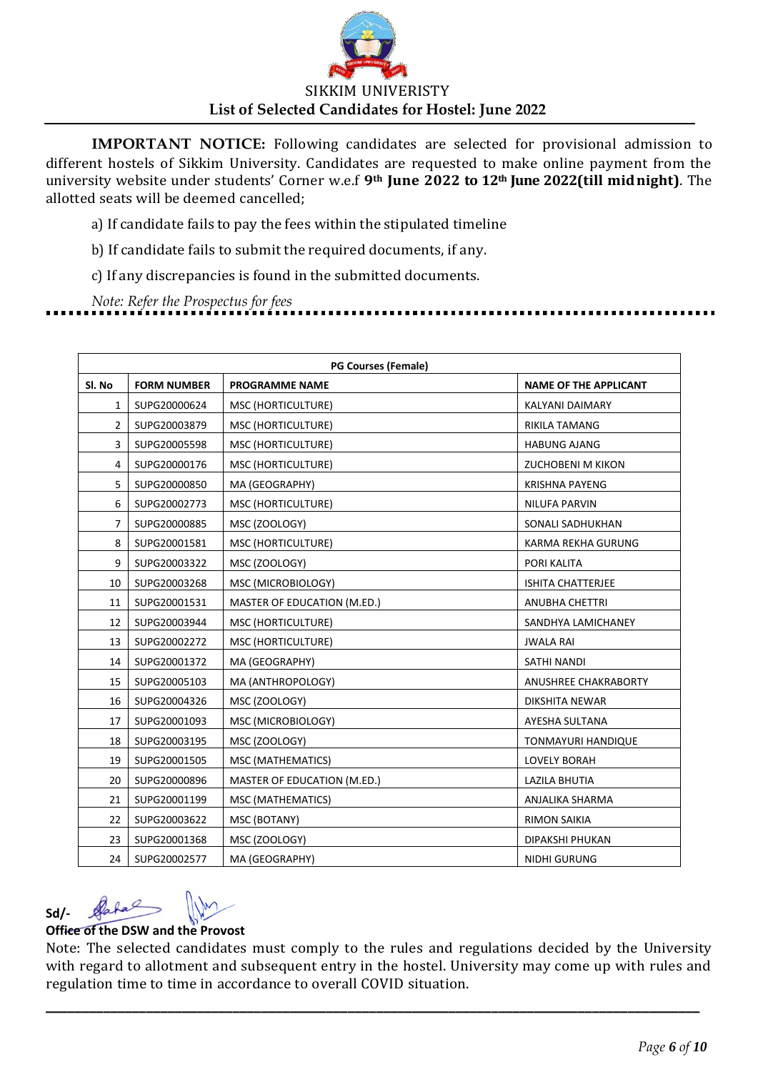

a) If candidate fails to pay the fees within the stipulated timeline

b) If candidate fails to submit the required documents, if any.

c) If any discrepancies is found in the submitted documents.

*Note: Refer the Prospectus for fees*

| <b>PG Courses (Female)</b> |                    |                             |                              |  |
|----------------------------|--------------------|-----------------------------|------------------------------|--|
| SI. No                     | <b>FORM NUMBER</b> | <b>PROGRAMME NAME</b>       | <b>NAME OF THE APPLICANT</b> |  |
| 1                          | SUPG20000624       | MSC (HORTICULTURE)          | KALYANI DAIMARY              |  |
| $\overline{2}$             | SUPG20003879       | MSC (HORTICULTURE)          | <b>RIKILA TAMANG</b>         |  |
| 3                          | SUPG20005598       | MSC (HORTICULTURE)          | <b>HABUNG AJANG</b>          |  |
| 4                          | SUPG20000176       | MSC (HORTICULTURE)          | <b>ZUCHOBENI M KIKON</b>     |  |
| 5                          | SUPG20000850       | MA (GEOGRAPHY)              | <b>KRISHNA PAYENG</b>        |  |
| 6                          | SUPG20002773       | MSC (HORTICULTURE)          | <b>NILUFA PARVIN</b>         |  |
| 7                          | SUPG20000885       | MSC (ZOOLOGY)               | SONALI SADHUKHAN             |  |
| 8                          | SUPG20001581       | MSC (HORTICULTURE)          | KARMA REKHA GURUNG           |  |
| 9                          | SUPG20003322       | MSC (ZOOLOGY)               | PORI KALITA                  |  |
| 10                         | SUPG20003268       | MSC (MICROBIOLOGY)          | <b>ISHITA CHATTERJEE</b>     |  |
| 11                         | SUPG20001531       | MASTER OF EDUCATION (M.ED.) | <b>ANUBHA CHETTRI</b>        |  |
| 12                         | SUPG20003944       | MSC (HORTICULTURE)          | SANDHYA LAMICHANEY           |  |
| 13                         | SUPG20002272       | MSC (HORTICULTURE)          | <b>JWALA RAI</b>             |  |
| 14                         | SUPG20001372       | MA (GEOGRAPHY)              | SATHI NANDI                  |  |
| 15                         | SUPG20005103       | MA (ANTHROPOLOGY)           | ANUSHREE CHAKRABORTY         |  |
| 16                         | SUPG20004326       | MSC (ZOOLOGY)               | DIKSHITA NEWAR               |  |
| 17                         | SUPG20001093       | MSC (MICROBIOLOGY)          | AYESHA SULTANA               |  |
| 18                         | SUPG20003195       | MSC (ZOOLOGY)               | TONMAYURI HANDIQUE           |  |
| 19                         | SUPG20001505       | MSC (MATHEMATICS)           | <b>LOVELY BORAH</b>          |  |
| 20                         | SUPG20000896       | MASTER OF EDUCATION (M.ED.) | <b>LAZILA BHUTIA</b>         |  |
| 21                         | SUPG20001199       | MSC (MATHEMATICS)           | ANJALIKA SHARMA              |  |
| 22                         | SUPG20003622       | MSC (BOTANY)                | <b>RIMON SAIKIA</b>          |  |
| 23                         | SUPG20001368       | MSC (ZOOLOGY)               | DIPAKSHI PHUKAN              |  |
| 24                         | SUPG20002577       | MA (GEOGRAPHY)              | <b>NIDHI GURUNG</b>          |  |

#### Data **Sd/-**

## **Office of the DSW and the Provost**

Note: The selected candidates must comply to the rules and regulations decided by the University with regard to allotment and subsequent entry in the hostel. University may come up with rules and regulation time to time in accordance to overall COVID situation.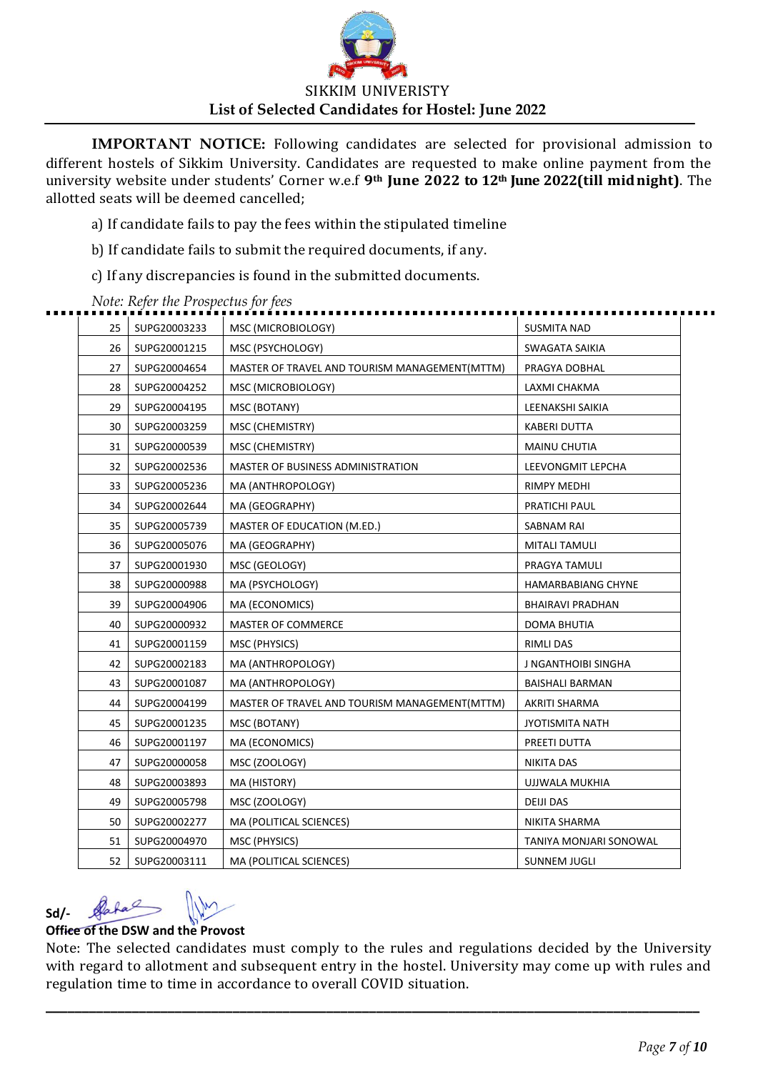

a) If candidate fails to pay the fees within the stipulated timeline

b) If candidate fails to submit the required documents, if any.

c) If any discrepancies is found in the submitted documents.

| 25 | SUPG20003233 | MSC (MICROBIOLOGY)                            | <b>SUSMITA NAD</b>        |
|----|--------------|-----------------------------------------------|---------------------------|
| 26 | SUPG20001215 | MSC (PSYCHOLOGY)                              | SWAGATA SAIKIA            |
| 27 | SUPG20004654 | MASTER OF TRAVEL AND TOURISM MANAGEMENT(MTTM) | PRAGYA DOBHAL             |
| 28 | SUPG20004252 | MSC (MICROBIOLOGY)                            | LAXMI CHAKMA              |
| 29 | SUPG20004195 | MSC (BOTANY)                                  | LEENAKSHI SAIKIA          |
| 30 | SUPG20003259 | MSC (CHEMISTRY)                               | <b>KABERI DUTTA</b>       |
| 31 | SUPG20000539 | MSC (CHEMISTRY)                               | MAINU CHUTIA              |
| 32 | SUPG20002536 | MASTER OF BUSINESS ADMINISTRATION             | LEEVONGMIT LEPCHA         |
| 33 | SUPG20005236 | MA (ANTHROPOLOGY)                             | RIMPY MEDHI               |
| 34 | SUPG20002644 | MA (GEOGRAPHY)                                | PRATICHI PAUL             |
| 35 | SUPG20005739 | MASTER OF EDUCATION (M.ED.)                   | SABNAM RAI                |
| 36 | SUPG20005076 | MA (GEOGRAPHY)                                | MITALI TAMULI             |
| 37 | SUPG20001930 | MSC (GEOLOGY)                                 | PRAGYA TAMULI             |
| 38 | SUPG20000988 | MA (PSYCHOLOGY)                               | <b>HAMARBABIANG CHYNE</b> |
| 39 | SUPG20004906 | MA (ECONOMICS)                                | BHAIRAVI PRADHAN          |
| 40 | SUPG20000932 | MASTER OF COMMERCE                            | DOMA BHUTIA               |
| 41 | SUPG20001159 | MSC (PHYSICS)                                 | <b>RIMLI DAS</b>          |
| 42 | SUPG20002183 | MA (ANTHROPOLOGY)                             | J NGANTHOIBI SINGHA       |
| 43 | SUPG20001087 | MA (ANTHROPOLOGY)                             | BAISHALI BARMAN           |
| 44 | SUPG20004199 | MASTER OF TRAVEL AND TOURISM MANAGEMENT(MTTM) | AKRITI SHARMA             |
| 45 | SUPG20001235 | MSC (BOTANY)                                  | JYOTISMITA NATH           |
| 46 | SUPG20001197 | MA (ECONOMICS)                                | PREETI DUTTA              |
| 47 | SUPG20000058 | MSC (ZOOLOGY)                                 | NIKITA DAS                |
| 48 | SUPG20003893 | MA (HISTORY)                                  | UJJWALA MUKHIA            |
| 49 | SUPG20005798 | MSC (ZOOLOGY)                                 | <b>DEIJI DAS</b>          |
| 50 | SUPG20002277 | MA (POLITICAL SCIENCES)                       | NIKITA SHARMA             |
| 51 | SUPG20004970 | MSC (PHYSICS)                                 | TANIYA MONJARI SONOWAL    |
| 52 | SUPG20003111 | MA (POLITICAL SCIENCES)                       | <b>SUNNEM JUGLI</b>       |
|    |              |                                               |                           |

#### *Note: Refer the Prospectus for fees*

## **Sd/-**

### **Office of the DSW and the Provost**

Note: The selected candidates must comply to the rules and regulations decided by the University with regard to allotment and subsequent entry in the hostel. University may come up with rules and regulation time to time in accordance to overall COVID situation.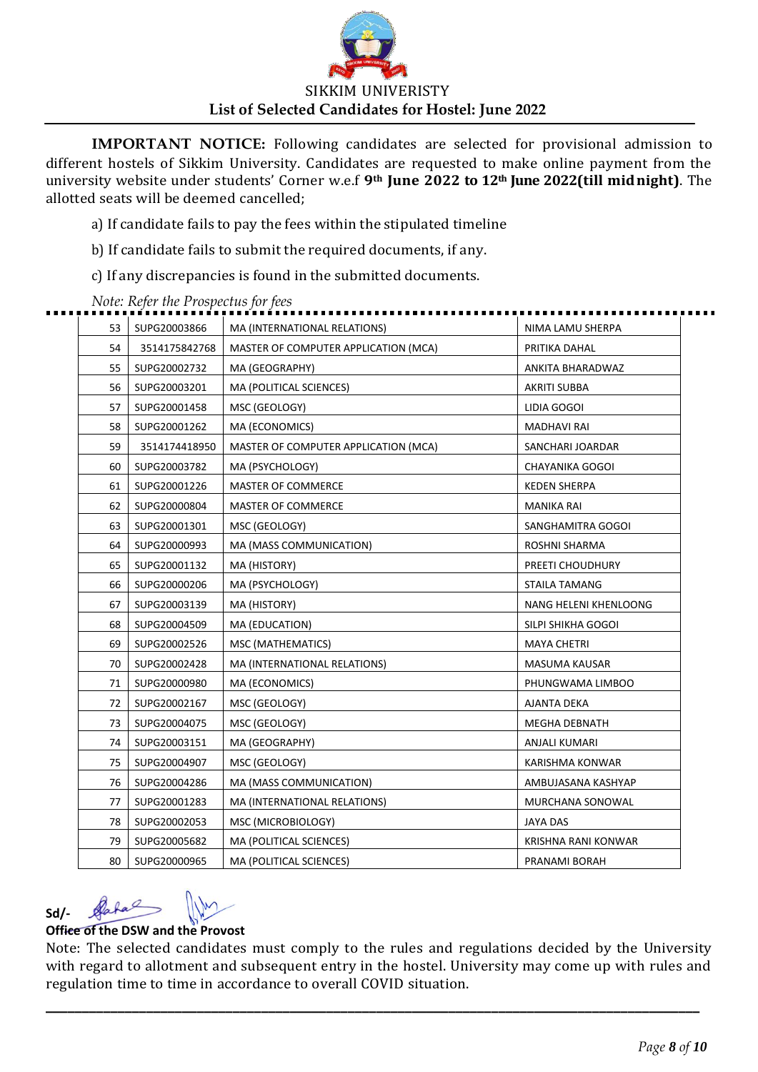

a) If candidate fails to pay the fees within the stipulated timeline

b) If candidate fails to submit the required documents, if any.

c) If any discrepancies is found in the submitted documents.

| 53 | SUPG20003866  | MA (INTERNATIONAL RELATIONS)         | NIMA LAMU SHERPA       |
|----|---------------|--------------------------------------|------------------------|
| 54 | 3514175842768 | MASTER OF COMPUTER APPLICATION (MCA) | PRITIKA DAHAL          |
| 55 | SUPG20002732  | MA (GEOGRAPHY)                       | ANKITA BHARADWAZ       |
| 56 | SUPG20003201  | MA (POLITICAL SCIENCES)              | AKRITI SUBBA           |
| 57 | SUPG20001458  | MSC (GEOLOGY)                        | LIDIA GOGOI            |
| 58 | SUPG20001262  | MA (ECONOMICS)                       | <b>MADHAVI RAI</b>     |
| 59 | 3514174418950 | MASTER OF COMPUTER APPLICATION (MCA) | SANCHARI JOARDAR       |
| 60 | SUPG20003782  | MA (PSYCHOLOGY)                      | <b>CHAYANIKA GOGOI</b> |
| 61 | SUPG20001226  | <b>MASTER OF COMMERCE</b>            | <b>KEDEN SHERPA</b>    |
| 62 | SUPG20000804  | MASTER OF COMMERCE                   | MANIKA RAI             |
| 63 | SUPG20001301  | MSC (GEOLOGY)                        | SANGHAMITRA GOGOI      |
| 64 | SUPG20000993  | MA (MASS COMMUNICATION)              | ROSHNI SHARMA          |
| 65 | SUPG20001132  | MA (HISTORY)                         | PREETI CHOUDHURY       |
| 66 | SUPG20000206  | MA (PSYCHOLOGY)                      | <b>STAILA TAMANG</b>   |
| 67 | SUPG20003139  | MA (HISTORY)                         | NANG HELENI KHENLOONG  |
| 68 | SUPG20004509  | MA (EDUCATION)                       | SILPI SHIKHA GOGOI     |
| 69 | SUPG20002526  | MSC (MATHEMATICS)                    | <b>MAYA CHETRI</b>     |
| 70 | SUPG20002428  | MA (INTERNATIONAL RELATIONS)         | MASUMA KAUSAR          |
| 71 | SUPG20000980  | MA (ECONOMICS)                       | PHUNGWAMA LIMBOO       |
| 72 | SUPG20002167  | MSC (GEOLOGY)                        | <b>AJANTA DEKA</b>     |
| 73 | SUPG20004075  | MSC (GEOLOGY)                        | <b>MEGHA DEBNATH</b>   |
| 74 | SUPG20003151  | MA (GEOGRAPHY)                       | ANJALI KUMARI          |
| 75 | SUPG20004907  | MSC (GEOLOGY)                        | KARISHMA KONWAR        |
| 76 | SUPG20004286  | MA (MASS COMMUNICATION)              | AMBUJASANA KASHYAP     |
| 77 | SUPG20001283  | MA (INTERNATIONAL RELATIONS)         | MURCHANA SONOWAL       |
| 78 | SUPG20002053  | MSC (MICROBIOLOGY)                   | JAYA DAS               |
| 79 | SUPG20005682  | MA (POLITICAL SCIENCES)              | KRISHNA RANI KONWAR    |
| 80 | SUPG20000965  | MA (POLITICAL SCIENCES)              | PRANAMI BORAH          |

*Note: Refer the Prospectus for fees*

# **Sd/-**

### **Office of the DSW and the Provost**

Note: The selected candidates must comply to the rules and regulations decided by the University with regard to allotment and subsequent entry in the hostel. University may come up with rules and regulation time to time in accordance to overall COVID situation.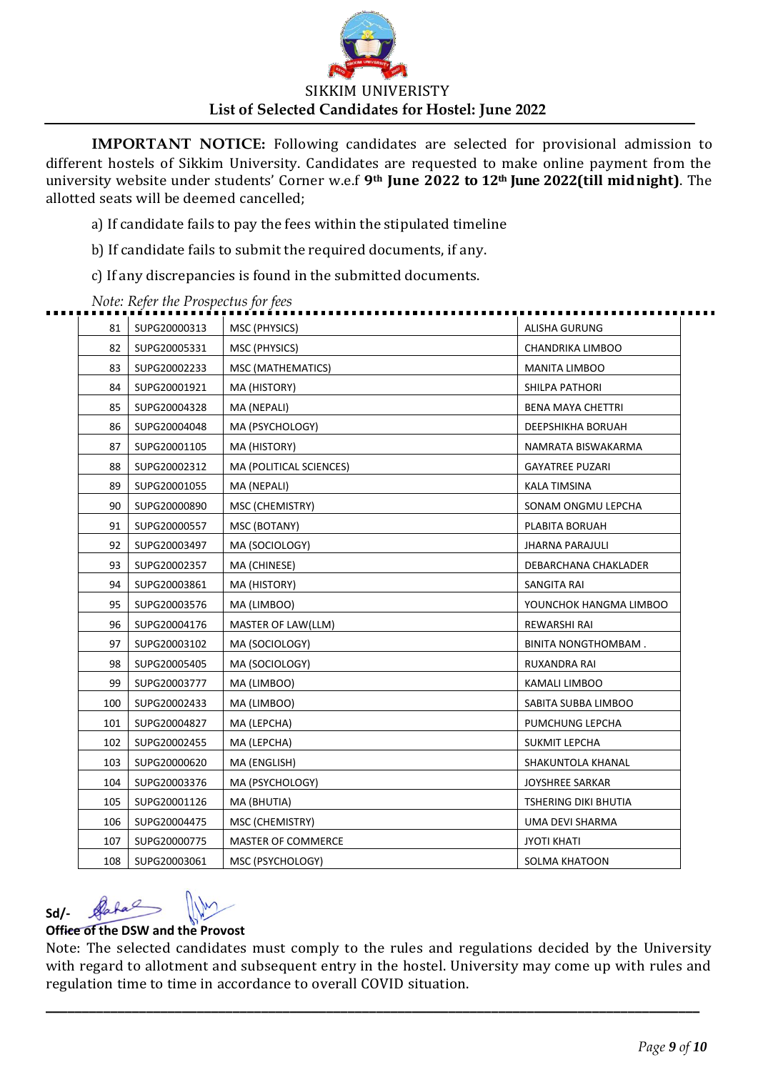

a) If candidate fails to pay the fees within the stipulated timeline

b) If candidate fails to submit the required documents, if any.

c) If any discrepancies is found in the submitted documents.

| 81  | SUPG20000313 | MSC (PHYSICS)           | ALISHA GURUNG          |
|-----|--------------|-------------------------|------------------------|
| 82  | SUPG20005331 | MSC (PHYSICS)           | CHANDRIKA LIMBOO       |
| 83  | SUPG20002233 | MSC (MATHEMATICS)       | <b>MANITA LIMBOO</b>   |
| 84  | SUPG20001921 | MA (HISTORY)            | SHILPA PATHORI         |
| 85  | SUPG20004328 | MA (NEPALI)             | BENA MAYA CHETTRI      |
| 86  | SUPG20004048 | MA (PSYCHOLOGY)         | DEEPSHIKHA BORUAH      |
| 87  | SUPG20001105 | MA (HISTORY)            | NAMRATA BISWAKARMA     |
| 88  | SUPG20002312 | MA (POLITICAL SCIENCES) | <b>GAYATREE PUZARI</b> |
| 89  | SUPG20001055 | MA (NEPALI)             | KALA TIMSINA           |
| 90  | SUPG20000890 | MSC (CHEMISTRY)         | SONAM ONGMU LEPCHA     |
| 91  | SUPG20000557 | MSC (BOTANY)            | PLABITA BORUAH         |
| 92  | SUPG20003497 | MA (SOCIOLOGY)          | <b>JHARNA PARAJULI</b> |
| 93  | SUPG20002357 | MA (CHINESE)            | DEBARCHANA CHAKLADER   |
| 94  | SUPG20003861 | MA (HISTORY)            | SANGITA RAI            |
| 95  | SUPG20003576 | MA (LIMBOO)             | YOUNCHOK HANGMA LIMBOO |
| 96  | SUPG20004176 | MASTER OF LAW(LLM)      | REWARSHI RAI           |
| 97  | SUPG20003102 | MA (SOCIOLOGY)          | BINITA NONGTHOMBAM.    |
| 98  | SUPG20005405 | MA (SOCIOLOGY)          | RUXANDRA RAI           |
| 99  | SUPG20003777 | MA (LIMBOO)             | KAMALI LIMBOO          |
| 100 | SUPG20002433 | MA (LIMBOO)             | SABITA SUBBA LIMBOO    |
| 101 | SUPG20004827 | MA (LEPCHA)             | PUMCHUNG LEPCHA        |
| 102 | SUPG20002455 | MA (LEPCHA)             | SUKMIT LEPCHA          |
| 103 | SUPG20000620 | MA (ENGLISH)            | SHAKUNTOLA KHANAL      |
| 104 | SUPG20003376 | MA (PSYCHOLOGY)         | JOYSHREE SARKAR        |
| 105 | SUPG20001126 | MA (BHUTIA)             | TSHERING DIKI BHUTIA   |
| 106 | SUPG20004475 | MSC (CHEMISTRY)         | UMA DEVI SHARMA        |
| 107 | SUPG20000775 | MASTER OF COMMERCE      | <b>JYOTI KHATI</b>     |
| 108 | SUPG20003061 | MSC (PSYCHOLOGY)        | SOLMA KHATOON          |
|     |              |                         |                        |

*Note: Refer the Prospectus for fees* . . .

# **Sd/-**

### **Office of the DSW and the Provost**

Note: The selected candidates must comply to the rules and regulations decided by the University with regard to allotment and subsequent entry in the hostel. University may come up with rules and regulation time to time in accordance to overall COVID situation.